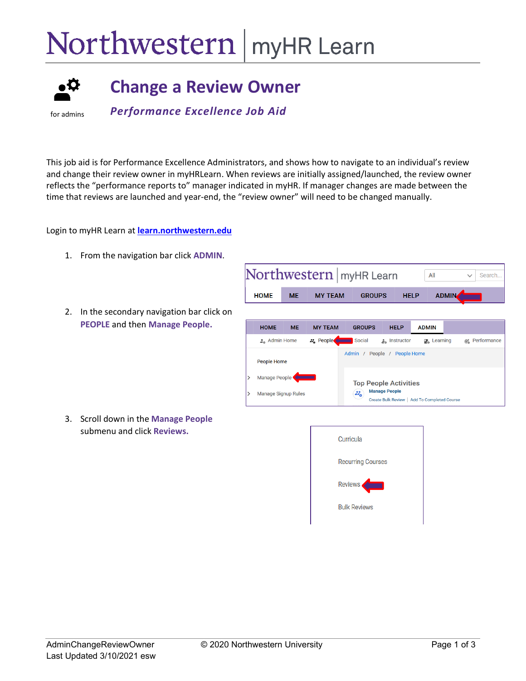## Northwestern | myHR Learn



## **Change a Review Owner**

for admins

*Performance Excellence Job Aid* 

This job aid is for Performance Excellence Administrators, and shows how to navigate to an individual's review and change their review owner in myHRLearn. When reviews are initially assigned/launched, the review owner reflects the "performance reports to" manager indicated in myHR. If manager changes are made between the time that reviews are launched and year-end, the "review owner" will need to be changed manually.

Login to myHR Learn at **[learn.northwestern.edu](http://learn.northwestern.edu/)**

- 1. From the navigation bar click **ADMIN**.
- 2. In the secondary navigation bar click on **PEOPLE** and then **Manage People.**

3. Scroll down in the **Manage People** submenu and click **Reviews.**



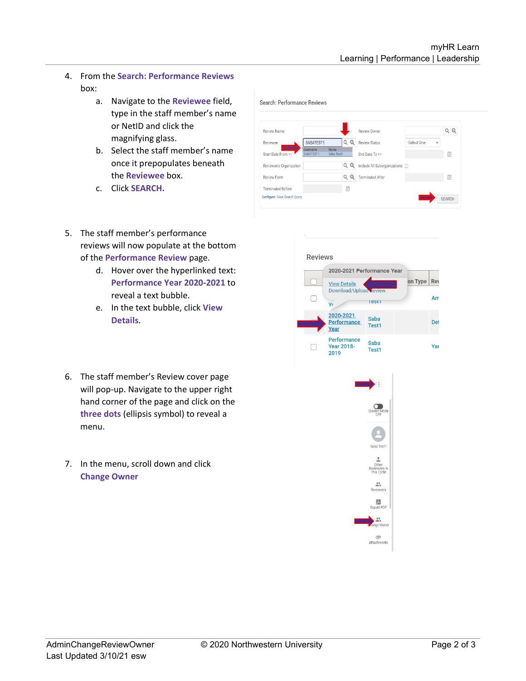- 4. From the **Search: Performance Reviews** box:
	- a. Navigate to the **Reviewee** field, type in the staff member's name or NetID and click the magnifying glass.
	- b. Select the staff member's name once it prepopulates beneath the **Reviewee** box.
	- c. Click **SEARCH.**

| Review Name                   |                                                    |   |         | Review Owner                   |              |   | QQ            |
|-------------------------------|----------------------------------------------------|---|---------|--------------------------------|--------------|---|---------------|
| Reviewee                      | SABATEST1                                          |   | $Q$ $Q$ | <b>Review Status</b>           | -Select One- | v |               |
| Start Date From >=            | Name<br><b>Username</b><br>Saba Test1<br>SABATEST1 |   |         | End Date To <=                 |              |   | 曲             |
| Reviewee's Organization       |                                                    |   | QQ      | Include All Suborganizations [ |              |   |               |
| Review Form                   |                                                    |   | QQ      | <b>Terminated After</b>        |              |   | 值             |
| <b>Terminated Before</b>      |                                                    | 歯 |         |                                |              |   |               |
| Configure   Save Search Query |                                                    |   |         |                                |              |   | <b>SEARCH</b> |

- 5. The staff member's performance reviews will now populate at the bottom of the **Performance Review** page.
	- d. Hover over the hyperlinked text: **Performance Year 2020-2021** to reveal a text bubble.
	- e. In the text bubble, click **View Details**.
- 6. The staff member's Review cover page will pop-up. Navigate to the upper right hand corner of the page and click on the **three dots** (ellipsis symbol) to reveal a menu.
- 7. In the menu, scroll down and click **Change Owner**